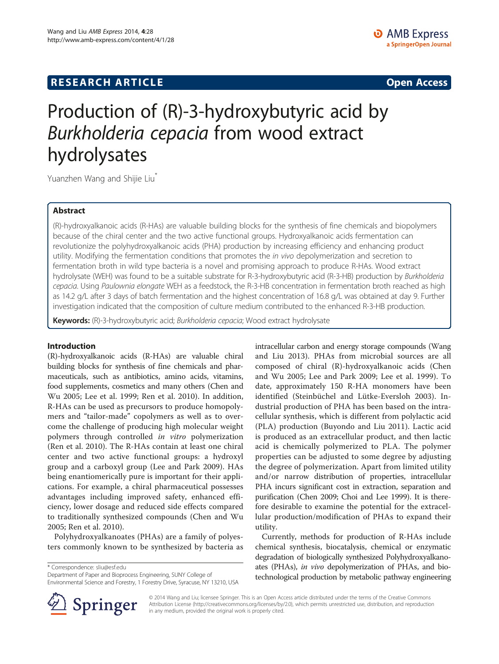# **RESEARCH ARTICLE Example 2014 CONSIDERING CONSIDERING CONSIDERING CONSIDERING CONSIDERING CONSIDERING CONSIDERING CONSIDERING CONSIDERING CONSIDERING CONSIDERING CONSIDERING CONSIDERING CONSIDERING CONSIDERING CONSIDE**

# Production of (R)-3-hydroxybutyric acid by Burkholderia cepacia from wood extract hydrolysates

Yuanzhen Wang and Shijie Liu<sup>\*</sup>

# Abstract

(R)-hydroxyalkanoic acids (R-HAs) are valuable building blocks for the synthesis of fine chemicals and biopolymers because of the chiral center and the two active functional groups. Hydroxyalkanoic acids fermentation can revolutionize the polyhydroxyalkanoic acids (PHA) production by increasing efficiency and enhancing product utility. Modifying the fermentation conditions that promotes the in vivo depolymerization and secretion to fermentation broth in wild type bacteria is a novel and promising approach to produce R-HAs. Wood extract hydrolysate (WEH) was found to be a suitable substrate for R-3-hydroxybutyric acid (R-3-HB) production by Burkholderia cepacia. Using Paulownia elongate WEH as a feedstock, the R-3-HB concentration in fermentation broth reached as high as 14.2 g/L after 3 days of batch fermentation and the highest concentration of 16.8 g/L was obtained at day 9. Further investigation indicated that the composition of culture medium contributed to the enhanced R-3-HB production.

Keywords: (R)-3-hydroxybutyric acid; Burkholderia cepacia; Wood extract hydrolysate

# Introduction

(R)-hydroxyalkanoic acids (R-HAs) are valuable chiral building blocks for synthesis of fine chemicals and pharmaceuticals, such as antibiotics, amino acids, vitamins, food supplements, cosmetics and many others (Chen and Wu [2005;](#page-8-0) Lee et al. [1999](#page-8-0); Ren et al. [2010\)](#page-8-0). In addition, R-HAs can be used as precursors to produce homopolymers and "tailor-made" copolymers as well as to overcome the challenge of producing high molecular weight polymers through controlled in vitro polymerization (Ren et al. [2010](#page-8-0)). The R-HAs contain at least one chiral center and two active functional groups: a hydroxyl group and a carboxyl group (Lee and Park [2009](#page-8-0)). HAs being enantiomerically pure is important for their applications. For example, a chiral pharmaceutical possesses advantages including improved safety, enhanced efficiency, lower dosage and reduced side effects compared to traditionally synthesized compounds (Chen and Wu [2005;](#page-8-0) Ren et al. [2010\)](#page-8-0).

Polyhydroxyalkanoates (PHAs) are a family of polyesters commonly known to be synthesized by bacteria as

\* Correspondence: [sliu@esf.edu](mailto:sliu@esf.edu)

Department of Paper and Bioprocess Engineering, SUNY College of Environmental Science and Forestry, 1 Forestry Drive, Syracuse, NY 13210, USA intracellular carbon and energy storage compounds (Wang and Liu [2013](#page-8-0)). PHAs from microbial sources are all composed of chiral (R)-hydroxyalkanoic acids (Chen and Wu [2005;](#page-8-0) Lee and Park [2009;](#page-8-0) Lee et al. [1999\)](#page-8-0). To date, approximately 150 R-HA monomers have been identified (Steinbüchel and Lütke-Eversloh [2003](#page-8-0)). Industrial production of PHA has been based on the intracellular synthesis, which is different from polylactic acid (PLA) production (Buyondo and Liu [2011\)](#page-8-0). Lactic acid is produced as an extracellular product, and then lactic acid is chemically polymerized to PLA. The polymer properties can be adjusted to some degree by adjusting the degree of polymerization. Apart from limited utility and/or narrow distribution of properties, intracellular PHA incurs significant cost in extraction, separation and purification (Chen [2009;](#page-8-0) Choi and Lee [1999\)](#page-8-0). It is therefore desirable to examine the potential for the extracellular production/modification of PHAs to expand their utility.

Currently, methods for production of R-HAs include chemical synthesis, biocatalysis, chemical or enzymatic degradation of biologically synthesized Polyhydroxyalkanoates (PHAs), in vivo depolymerization of PHAs, and biotechnological production by metabolic pathway engineering



© 2014 Wang and Liu; licensee Springer. This is an Open Access article distributed under the terms of the Creative Commons Attribution License [\(http://creativecommons.org/licenses/by/2.0\)](http://creativecommons.org/licenses/by/2.0), which permits unrestricted use, distribution, and reproduction in any medium, provided the original work is properly cited.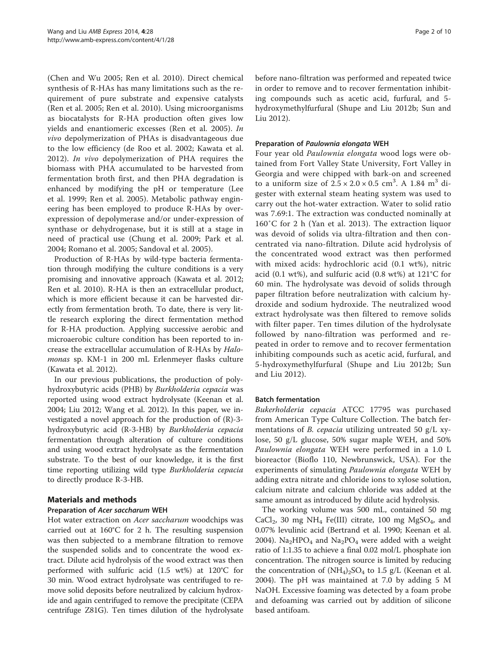(Chen and Wu [2005](#page-8-0); Ren et al. [2010\)](#page-8-0). Direct chemical synthesis of R-HAs has many limitations such as the requirement of pure substrate and expensive catalysts (Ren et al. [2005;](#page-8-0) Ren et al. [2010\)](#page-8-0). Using microorganisms as biocatalysts for R-HA production often gives low yields and enantiomeric excesses (Ren et al. [2005](#page-8-0)). In vivo depolymerization of PHAs is disadvantageous due to the low efficiency (de Roo et al. [2002](#page-8-0); Kawata et al. [2012\)](#page-8-0). In vivo depolymerization of PHA requires the biomass with PHA accumulated to be harvested from fermentation broth first, and then PHA degradation is enhanced by modifying the pH or temperature (Lee et al. [1999](#page-8-0); Ren et al. [2005](#page-8-0)). Metabolic pathway engineering has been employed to produce R-HAs by overexpression of depolymerase and/or under-expression of synthase or dehydrogenase, but it is still at a stage in need of practical use (Chung et al. [2009](#page-8-0); Park et al. [2004;](#page-8-0) Romano et al. [2005](#page-8-0); Sandoval et al. [2005\)](#page-8-0).

Production of R-HAs by wild-type bacteria fermentation through modifying the culture conditions is a very promising and innovative approach (Kawata et al. [2012](#page-8-0); Ren et al. [2010\)](#page-8-0). R-HA is then an extracellular product, which is more efficient because it can be harvested directly from fermentation broth. To date, there is very little research exploring the direct fermentation method for R-HA production. Applying successive aerobic and microaerobic culture condition has been reported to increase the extracellular accumulation of R-HAs by Halomonas sp. KM-1 in 200 mL Erlenmeyer flasks culture (Kawata et al. [2012\)](#page-8-0).

In our previous publications, the production of polyhydroxybutyric acids (PHB) by Burkholderia cepacia was reported using wood extract hydrolysate (Keenan et al. [2004](#page-8-0); Liu [2012;](#page-8-0) Wang et al. [2012](#page-9-0)). In this paper, we investigated a novel approach for the production of (R)-3 hydroxybutyric acid (R-3-HB) by Burkholderia cepacia fermentation through alteration of culture conditions and using wood extract hydrolysate as the fermentation substrate. To the best of our knowledge, it is the first time reporting utilizing wild type Burkholderia cepacia to directly produce R-3-HB.

# Materials and methods

# Preparation of Acer saccharum WEH

Hot water extraction on Acer saccharum woodchips was carried out at 160°C for 2 h. The resulting suspension was then subjected to a membrane filtration to remove the suspended solids and to concentrate the wood extract. Dilute acid hydrolysis of the wood extract was then performed with sulfuric acid (1.5 wt%) at 120°C for 30 min. Wood extract hydrolysate was centrifuged to remove solid deposits before neutralized by calcium hydroxide and again centrifuged to remove the precipitate (CEPA centrifuge Z81G). Ten times dilution of the hydrolysate before nano-filtration was performed and repeated twice in order to remove and to recover fermentation inhibiting compounds such as acetic acid, furfural, and 5 hydroxymethylfurfural (Shupe and Liu [2012b](#page-8-0); Sun and Liu [2012](#page-8-0)).

# Preparation of Paulownia elongata WEH

Four year old Paulownia elongata wood logs were obtained from Fort Valley State University, Fort Valley in Georgia and were chipped with bark-on and screened to a uniform size of  $2.5 \times 2.0 \times 0.5$  cm<sup>3</sup>. A 1.84 m<sup>3</sup> digester with external steam heating system was used to carry out the hot-water extraction. Water to solid ratio was 7.69:1. The extraction was conducted nominally at 160˚C for 2 h (Yan et al. [2013\)](#page-9-0). The extraction liquor was devoid of solids via ultra-filtration and then concentrated via nano-filtration. Dilute acid hydrolysis of the concentrated wood extract was then performed with mixed acids: hydrochloric acid (0.1 wt%), nitric acid (0.1 wt%), and sulfuric acid (0.8 wt%) at 121°C for 60 min. The hydrolysate was devoid of solids through paper filtration before neutralization with calcium hydroxide and sodium hydroxide. The neutralized wood extract hydrolysate was then filtered to remove solids with filter paper. Ten times dilution of the hydrolysate followed by nano-filtration was performed and repeated in order to remove and to recover fermentation inhibiting compounds such as acetic acid, furfural, and 5-hydroxymethylfurfural (Shupe and Liu [2012b;](#page-8-0) Sun and Liu [2012\)](#page-8-0).

# Batch fermentation

Bukerholderia cepacia ATCC 17795 was purchased from American Type Culture Collection. The batch fermentations of *B. cepacia* utilizing untreated 50 g/L xylose, 50 g/L glucose, 50% sugar maple WEH, and 50% Paulownia elongata WEH were performed in a 1.0 L bioreactor (Bioflo 110, Newbrunswick, USA). For the experiments of simulating *Paulownia elongata* WEH by adding extra nitrate and chloride ions to xylose solution, calcium nitrate and calcium chloride was added at the same amount as introduced by dilute acid hydrolysis.

The working volume was 500 mL, contained 50 mg CaCl<sub>2</sub>, 30 mg NH<sub>4</sub> Fe(III) citrate, 100 mg MgSO<sub>4</sub>, and 0.07% levulinic acid (Bertrand et al. [1990;](#page-8-0) Keenan et al. [2004](#page-8-0)). Na<sub>2</sub>HPO<sub>4</sub> and Na<sub>2</sub>PO<sub>4</sub> were added with a weight ratio of 1:1.35 to achieve a final 0.02 mol/L phosphate ion concentration. The nitrogen source is limited by reducing the concentration of  $(NH_4)_2SO_4$  to 1.5 g/L (Keenan et al. [2004](#page-8-0)). The pH was maintained at 7.0 by adding 5 M NaOH. Excessive foaming was detected by a foam probe and defoaming was carried out by addition of silicone based antifoam.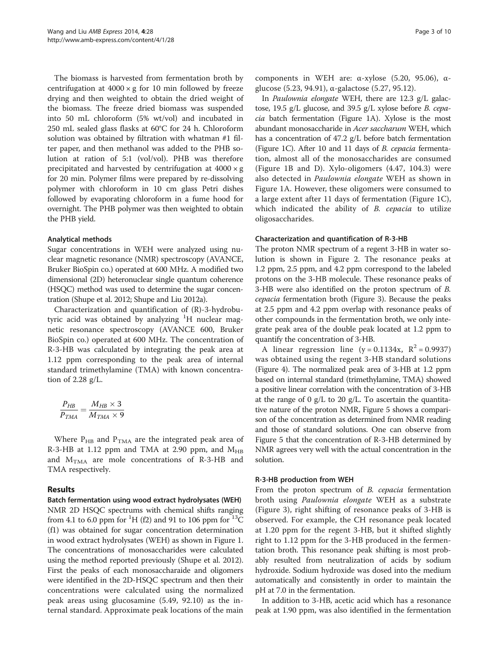The biomass is harvested from fermentation broth by centrifugation at  $4000 \times g$  for 10 min followed by freeze drying and then weighted to obtain the dried weight of the biomass. The freeze dried biomass was suspended into 50 mL chloroform (5% wt/vol) and incubated in 250 mL sealed glass flasks at 60°C for 24 h. Chloroform solution was obtained by filtration with whatman #1 filter paper, and then methanol was added to the PHB solution at ration of 5:1 (vol/vol). PHB was therefore precipitated and harvested by centrifugation at  $4000 \times g$ for 20 min. Polymer films were prepared by re-dissolving polymer with chloroform in 10 cm glass Petri dishes followed by evaporating chloroform in a fume hood for overnight. The PHB polymer was then weighted to obtain the PHB yield.

# Analytical methods

Sugar concentrations in WEH were analyzed using nuclear magnetic resonance (NMR) spectroscopy (AVANCE, Bruker BioSpin co.) operated at 600 MHz. A modified two dimensional (2D) heteronuclear single quantum coherence (HSQC) method was used to determine the sugar concentration (Shupe et al. [2012](#page-8-0); Shupe and Liu [2012a\)](#page-8-0).

Characterization and quantification of (R)-3-hydrobutyric acid was obtained by analyzing <sup>1</sup>H nuclear magnetic resonance spectroscopy (AVANCE 600, Bruker BioSpin co.) operated at 600 MHz. The concentration of R-3-HB was calculated by integrating the peak area at 1.12 ppm corresponding to the peak area of internal standard trimethylamine (TMA) with known concentration of 2.28 g/L.

$$
\frac{P_{HB}}{P_{TMA}} = \frac{M_{HB} \times 3}{M_{TMA} \times 9}
$$

Where  $P_{HB}$  and  $P_{TMA}$  are the integrated peak area of R-3-HB at 1.12 ppm and TMA at 2.90 ppm, and  $M_{HB}$ and  $M<sub>TMA</sub>$  are mole concentrations of R-3-HB and TMA respectively.

# Results

Batch fermentation using wood extract hydrolysates (WEH) NMR 2D HSQC spectrums with chemical shifts ranging from 4.1 to 6.0 ppm for <sup>1</sup>H (f2) and 91 to 106 ppm for <sup>13</sup>C (f1) was obtained for sugar concentration determination in wood extract hydrolysates (WEH) as shown in Figure [1](#page-3-0). The concentrations of monosaccharides were calculated using the method reported previously (Shupe et al. [2012](#page-8-0)). First the peaks of each monosaccharaide and oligomers were identified in the 2D-HSQC spectrum and then their concentrations were calculated using the normalized peak areas using glucosamine (5.49, 92.10) as the internal standard. Approximate peak locations of the main

components in WEH are: α-xylose (5.20, 95.06), αglucose (5.23, 94.91), α-galactose (5.27, 95.12).

In Paulownia elongate WEH, there are 12.3 g/L galactose, 19.5 g/L glucose, and 39.5 g/L xylose before B. cepacia batch fermentation (Figure [1A](#page-3-0)). Xylose is the most abundant monosaccharide in Acer saccharum WEH, which has a concentration of 47.2 g/L before batch fermentation (Figure [1C](#page-3-0)). After 10 and 11 days of B. cepacia fermentation, almost all of the monosaccharides are consumed (Figure [1](#page-3-0)B and D). Xylo-oligomers (4.47, 104.3) were also detected in Paulownia elongate WEH as shown in Figure [1](#page-3-0)A. However, these oligomers were consumed to a large extent after 11 days of fermentation (Figure [1](#page-3-0)C), which indicated the ability of B. cepacia to utilize oligosaccharides.

# Characterization and quantification of R-3-HB

The proton NMR spectrum of a regent 3-HB in water solution is shown in Figure [2](#page-4-0). The resonance peaks at 1.2 ppm, 2.5 ppm, and 4.2 ppm correspond to the labeled protons on the 3-HB molecule. These resonance peaks of 3-HB were also identified on the proton spectrum of B. cepacia fermentation broth (Figure [3\)](#page-4-0). Because the peaks at 2.5 ppm and 4.2 ppm overlap with resonance peaks of other compounds in the fermentation broth, we only integrate peak area of the double peak located at 1.2 ppm to quantify the concentration of 3-HB.

A linear regression line  $(y = 0.1134x, R^2 = 0.9937)$ was obtained using the regent 3-HB standard solutions (Figure [4\)](#page-5-0). The normalized peak area of 3-HB at 1.2 ppm based on internal standard (trimethylamine, TMA) showed a positive linear correlation with the concentration of 3-HB at the range of 0  $g/L$  to 20  $g/L$ . To ascertain the quantitative nature of the proton NMR, Figure [5](#page-5-0) shows a comparison of the concentration as determined from NMR reading and those of standard solutions. One can observe from Figure [5](#page-5-0) that the concentration of R-3-HB determined by NMR agrees very well with the actual concentration in the solution.

#### R-3-HB production from WEH

From the proton spectrum of *B. cepacia* fermentation broth using Paulownia elongate WEH as a substrate (Figure [3\)](#page-4-0), right shifting of resonance peaks of 3-HB is observed. For example, the CH resonance peak located at 1.20 ppm for the regent 3-HB, but it shifted slightly right to 1.12 ppm for the 3-HB produced in the fermentation broth. This resonance peak shifting is most probably resulted from neutralization of acids by sodium hydroxide. Sodium hydroxide was dosed into the medium automatically and consistently in order to maintain the pH at 7.0 in the fermentation.

In addition to 3-HB, acetic acid which has a resonance peak at 1.90 ppm, was also identified in the fermentation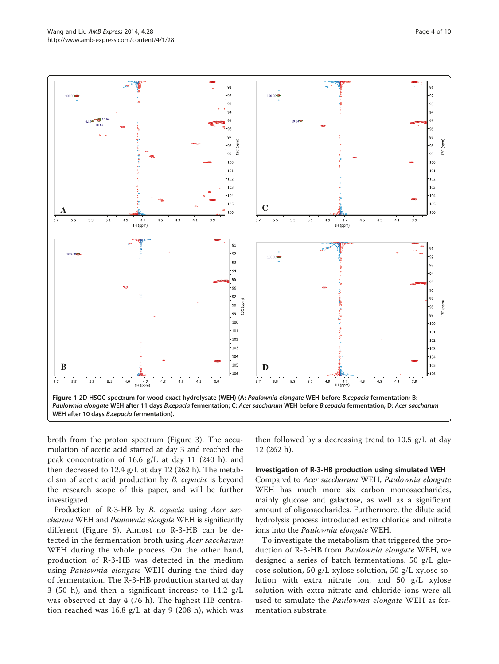<span id="page-3-0"></span>Wang and Liu AMB Express 2014, 4:28 Page 4 of 10 http://www.amb-express.com/content/4/1/28



broth from the proton spectrum (Figure [3](#page-4-0)). The accumulation of acetic acid started at day 3 and reached the peak concentration of 16.6 g/L at day 11 (240 h), and then decreased to 12.4 g/L at day 12 (262 h). The metabolism of acetic acid production by B. cepacia is beyond the research scope of this paper, and will be further investigated.

Production of R-3-HB by *B. cepacia* using *Acer sac*charum WEH and Paulownia elongate WEH is significantly different (Figure [6](#page-5-0)). Almost no R-3-HB can be detected in the fermentation broth using Acer saccharum WEH during the whole process. On the other hand, production of R-3-HB was detected in the medium using Paulownia elongate WEH during the third day of fermentation. The R-3-HB production started at day 3 (50 h), and then a significant increase to 14.2 g/L was observed at day 4 (76 h). The highest HB centration reached was 16.8 g/L at day 9 (208 h), which was then followed by a decreasing trend to 10.5 g/L at day 12 (262 h).

#### Investigation of R-3-HB production using simulated WEH

Compared to Acer saccharum WEH, Paulownia elongate WEH has much more six carbon monosaccharides, mainly glucose and galactose, as well as a significant amount of oligosaccharides. Furthermore, the dilute acid hydrolysis process introduced extra chloride and nitrate ions into the Paulownia elongate WEH.

To investigate the metabolism that triggered the production of R-3-HB from Paulownia elongate WEH, we designed a series of batch fermentations. 50 g/L glucose solution, 50 g/L xylose solution, 50 g/L xylose solution with extra nitrate ion, and 50 g/L xylose solution with extra nitrate and chloride ions were all used to simulate the *Paulownia elongate* WEH as fermentation substrate.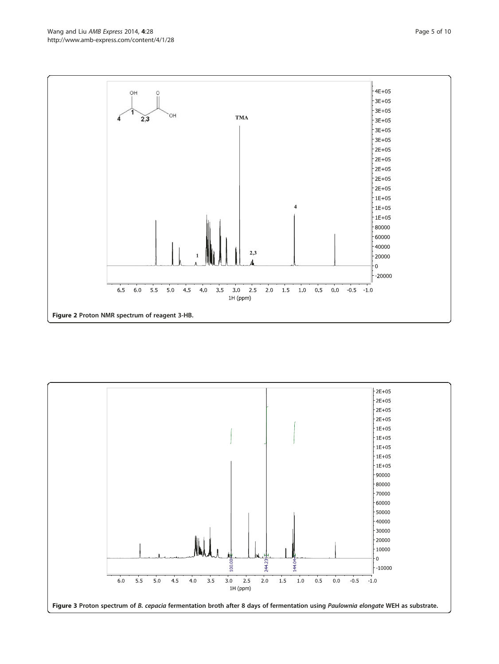<span id="page-4-0"></span>

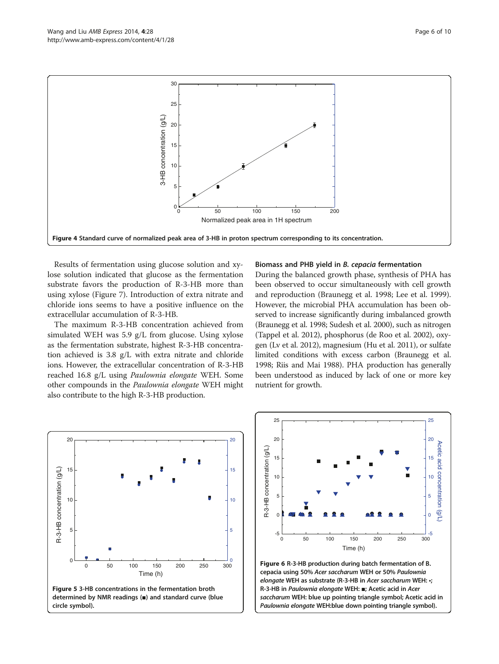<span id="page-5-0"></span>

Results of fermentation using glucose solution and xylose solution indicated that glucose as the fermentation substrate favors the production of R-3-HB more than using xylose (Figure [7](#page-6-0)). Introduction of extra nitrate and chloride ions seems to have a positive influence on the extracellular accumulation of R-3-HB.

The maximum R-3-HB concentration achieved from simulated WEH was 5.9 g/L from glucose. Using xylose as the fermentation substrate, highest R-3-HB concentration achieved is 3.8 g/L with extra nitrate and chloride ions. However, the extracellular concentration of R-3-HB reached 16.8 g/L using Paulownia elongate WEH. Some other compounds in the Paulownia elongate WEH might also contribute to the high R-3-HB production.

#### Biomass and PHB yield in B. cepacia fermentation

During the balanced growth phase, synthesis of PHA has been observed to occur simultaneously with cell growth and reproduction (Braunegg et al. [1998](#page-8-0); Lee et al. [1999](#page-8-0)). However, the microbial PHA accumulation has been observed to increase significantly during imbalanced growth (Braunegg et al. [1998;](#page-8-0) Sudesh et al. [2000](#page-8-0)), such as nitrogen (Tappel et al. [2012](#page-8-0)), phosphorus (de Roo et al. [2002\)](#page-8-0), oxygen (Lv et al. [2012\)](#page-8-0), magnesium (Hu et al. [2011\)](#page-8-0), or sulfate limited conditions with excess carbon (Braunegg et al. [1998](#page-8-0); Riis and Mai [1988](#page-8-0)). PHA production has generally been understood as induced by lack of one or more key nutrient for growth.





Paulownia elongate WEH:blue down pointing triangle symbol).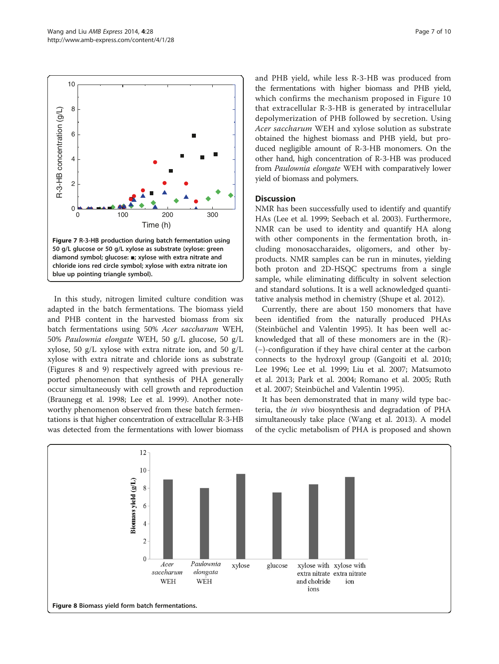<span id="page-6-0"></span>

In this study, nitrogen limited culture condition was adapted in the batch fermentations. The biomass yield and PHB content in the harvested biomass from six batch fermentations using 50% Acer saccharum WEH, 50% Paulownia elongate WEH, 50 g/L glucose, 50 g/L xylose, 50 g/L xylose with extra nitrate ion, and 50 g/L xylose with extra nitrate and chloride ions as substrate (Figures 8 and [9](#page-7-0)) respectively agreed with previous reported phenomenon that synthesis of PHA generally occur simultaneously with cell growth and reproduction (Braunegg et al. [1998;](#page-8-0) Lee et al. [1999](#page-8-0)). Another noteworthy phenomenon observed from these batch fermentations is that higher concentration of extracellular R-3-HB was detected from the fermentations with lower biomass and PHB yield, while less R-3-HB was produced from the fermentations with higher biomass and PHB yield, which confirms the mechanism proposed in Figure [10](#page-7-0) that extracellular R-3-HB is generated by intracellular depolymerization of PHB followed by secretion. Using Acer saccharum WEH and xylose solution as substrate obtained the highest biomass and PHB yield, but produced negligible amount of R-3-HB monomers. On the other hand, high concentration of R-3-HB was produced from Paulownia elongate WEH with comparatively lower yield of biomass and polymers.

# **Discussion**

NMR has been successfully used to identify and quantify HAs (Lee et al. [1999; Seebach et al. 2003\)](#page-8-0). Furthermore, NMR can be used to identity and quantify HA along with other components in the fermentation broth, including monosaccharaides, oligomers, and other byproducts. NMR samples can be run in minutes, yielding both proton and 2D-HSQC spectrums from a single sample, while eliminating difficulty in solvent selection and standard solutions. It is a well acknowledged quantitative analysis method in chemistry (Shupe et al. [2012\)](#page-8-0).

Currently, there are about 150 monomers that have been identified from the naturally produced PHAs (Steinbüchel and Valentin [1995\)](#page-8-0). It has been well acknowledged that all of these monomers are in the (R)- (−)-configuration if they have chiral center at the carbon connects to the hydroxyl group (Gangoiti et al. [2010](#page-8-0); Lee [1996](#page-8-0); Lee et al. [1999](#page-8-0); Liu et al. [2007](#page-8-0); Matsumoto et al. [2013](#page-8-0); Park et al. [2004](#page-8-0); Romano et al. [2005](#page-8-0); Ruth et al. [2007;](#page-8-0) Steinbüchel and Valentin [1995](#page-8-0)).

It has been demonstrated that in many wild type bacteria, the in vivo biosynthesis and degradation of PHA simultaneously take place (Wang et al. [2013](#page-9-0)). A model of the cyclic metabolism of PHA is proposed and shown

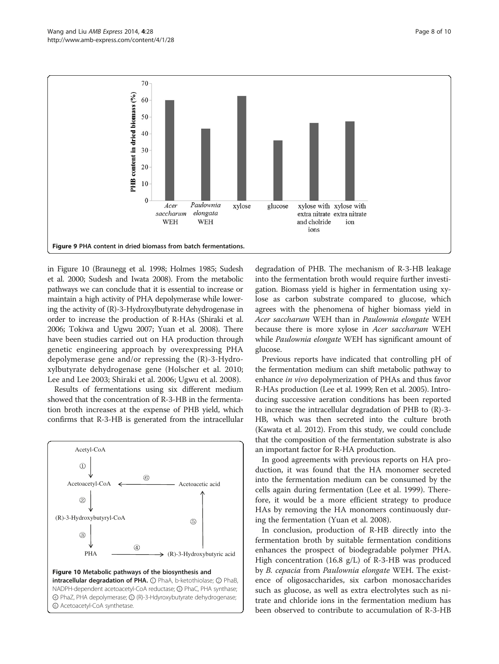<span id="page-7-0"></span>

in Figure 10 (Braunegg et al. [1998](#page-8-0); Holmes [1985](#page-8-0); Sudesh et al. [2000;](#page-8-0) Sudesh and Iwata [2008\)](#page-8-0). From the metabolic pathways we can conclude that it is essential to increase or maintain a high activity of PHA depolymerase while lowering the activity of (R)-3-Hydroxylbutyrate dehydrogenase in order to increase the production of R-HAs (Shiraki et al. [2006;](#page-8-0) Tokiwa and Ugwu [2007;](#page-8-0) Yuan et al. [2008](#page-9-0)). There have been studies carried out on HA production through genetic engineering approach by overexpressing PHA depolymerase gene and/or repressing the (R)-3-Hydroxylbutyrate dehydrogenase gene (Holscher et al. [2010](#page-8-0); Lee and Lee [2003](#page-8-0); Shiraki et al. [2006](#page-8-0); Ugwu et al. [2008](#page-8-0)).

Results of fermentations using six different medium showed that the concentration of R-3-HB in the fermentation broth increases at the expense of PHB yield, which confirms that R-3-HB is generated from the intracellular



degradation of PHB. The mechanism of R-3-HB leakage into the fermentation broth would require further investigation. Biomass yield is higher in fermentation using xylose as carbon substrate compared to glucose, which agrees with the phenomena of higher biomass yield in Acer saccharum WEH than in Paulownia elongate WEH because there is more xylose in Acer saccharum WEH while Paulownia elongate WEH has significant amount of glucose.

Previous reports have indicated that controlling pH of the fermentation medium can shift metabolic pathway to enhance in vivo depolymerization of PHAs and thus favor R-HAs production (Lee et al. [1999;](#page-8-0) Ren et al. [2005\)](#page-8-0). Introducing successive aeration conditions has been reported to increase the intracellular degradation of PHB to (R)-3- HB, which was then secreted into the culture broth (Kawata et al. [2012](#page-8-0)). From this study, we could conclude that the composition of the fermentation substrate is also an important factor for R-HA production.

In good agreements with previous reports on HA production, it was found that the HA monomer secreted into the fermentation medium can be consumed by the cells again during fermentation (Lee et al. [1999\)](#page-8-0). Therefore, it would be a more efficient strategy to produce HAs by removing the HA monomers continuously during the fermentation (Yuan et al. [2008\)](#page-9-0).

In conclusion, production of R-HB directly into the fermentation broth by suitable fermentation conditions enhances the prospect of biodegradable polymer PHA. High concentration (16.8 g/L) of R-3-HB was produced by B. cepacia from Paulownia elongate WEH. The existence of oligosaccharides, six carbon monosaccharides such as glucose, as well as extra electrolytes such as nitrate and chloride ions in the fermentation medium has been observed to contribute to accumulation of R-3-HB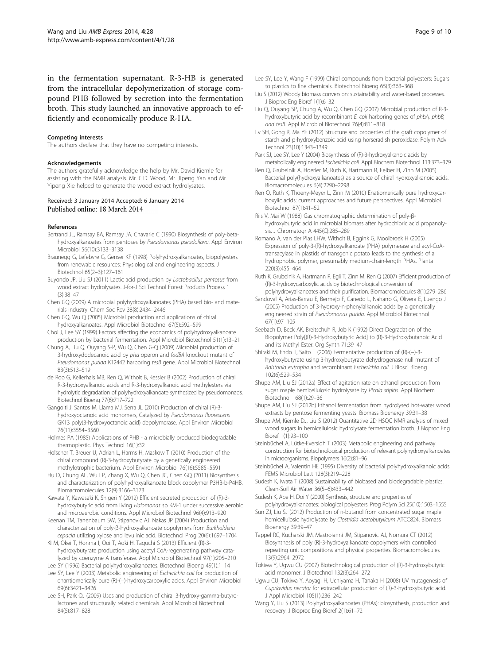<span id="page-8-0"></span>in the fermentation supernatant. R-3-HB is generated from the intracellular depolymerization of storage compound PHB followed by secretion into the fermentation broth. This study launched an innovative approach to efficiently and economically produce R-HA.

#### Competing interests

The authors declare that they have no competing interests.

#### Acknowledgements

The authors gratefully acknowledge the help by Mr. David Kiemle for assisting with the NMR analysis. Mr. C.D. Wood, Mr. Jipeng Yan and Mr. Yipeng Xie helped to generate the wood extract hydrolysates.

#### Received: 3 January 2014 Accepted: 6 January 2014 Published online: 18 March 2014

#### References

- Bertrand JL, Ramsay BA, Ramsay JA, Chavarie C (1990) Biosynthesis of poly-betahydroxyalkanoates from pentoses by Pseudomonas pseudoflava. Appl Environ Microbiol 56(10):3133–3138
- Braunegg G, Lefebvre G, Genser KF (1998) Polyhydroxyalkanoates, biopolyesters from renewable resources: Physiological and engineering aspects. J Biotechnol 65(2–3):127–161
- Buyondo JP, Liu SJ (2011) Lactic acid production by Lactobacillus pentosus from wood extract hydrolysates. J-for-J Sci Technol Forest Products Process 1 (3):38–47
- Chen GQ (2009) A microbial polyhydroxyalkanoates (PHA) based bio- and materials industry. Chem Soc Rev 38(8):2434–2446
- Chen GQ, Wu Q (2005) Microbial production and applications of chiral hydroxyalkanoates. Appl Microbiol Biotechnol 67(5):592–599
- Choi J, Lee SY (1999) Factors affecting the economics of polyhydroxyalkanoate production by bacterial fermentation. Appl Microbiol Biotechnol 51(1):13–21
- Chung A, Liu Q, Ouyang S-P, Wu Q, Chen G-Q (2009) Microbial production of 3-hydroxydodecanoic acid by pha operon and fadBA knockout mutant of Pseudomonas putida KT2442 harboring tesB gene. Appl Microbiol Biotechnol 83(3):513–519
- de Roo G, Kellerhals MB, Ren Q, Witholt B, Kessler B (2002) Production of chiral R-3-hydroxyalkanoic acids and R-3-hydroxyalkanoic acid methylesters via hydrolytic degradation of polyhydroxyalkanoate synthesized by pseudomonads. Biotechnol Bioeng 77(6):717–722
- Gangoiti J, Santos M, Llama MJ, Serra JL (2010) Production of chiral (R)-3 hydroxyoctanoic acid monomers, Catalyzed by Pseudomonas fluorescens GK13 poly(3-hydroxyoctanoic acid) depolymerase. Appl Environ Microbiol 76(11):3554–3560
- Holmes PA (1985) Applications of PHB a microbially produced biodegradable thermoplastic. Phys Technol 16(1):32
- Holscher T, Breuer U, Adrian L, Harms H, Maskow T (2010) Production of the chiral compound (R)-3-hydroxybutyrate by a genetically engineered methylotrophic bacterium. Appl Environ Microbiol 76(16):5585–5591
- Hu D, Chung AL, Wu LP, Zhang X, Wu Q, Chen JC, Chen GQ (2011) Biosynthesis and characterization of polyhydroxyalkanoate block copolymer P3HB-b-P4HB. Biomacromolecules 12(9):3166–3173
- Kawata Y, Kawasaki K, Shigeri Y (2012) Efficient secreted production of (R)-3 hydroxybutyric acid from living Halomonas sp KM-1 under successive aerobic and microaerobic conditions. Appl Microbiol Biotechnol 96(4):913–920
- Keenan TM, Tanenbaum SW, Stipanovic AJ, Nakas JP (2004) Production and characterization of poly-β-hydroxyalkanoate copolymers from Burkholderia cepacia utilizing xylose and levulinic acid. Biotechnol Prog 20(6):1697–1704
- KI M, Okei T, Honma I, Ooi T, Aoki H, Taguchi S (2013) Efficient (R)-3 hydroxybutyrate production using acetyl CoA-regenerating pathway catalyzed by coenzyme A transferase. Appl Microbiol Biotechnol 97(1):205–210
- Lee SY (1996) Bacterial polyhydroxyalkanoates. Biotechnol Bioeng 49(1):1–14 Lee SY, Lee Y (2003) Metabolic engineering of Escherichia coli for production of enantiomerically pure (R)-(−)-hydroxycarboxylic acids. Appl Environ Microbiol 69(6):3421–3426
- Lee SH, Park OJ (2009) Uses and production of chiral 3-hydroxy-gamma-butyrolactones and structurally related chemicals. Appl Microbiol Biotechnol 84(5):817–828
- Lee SY, Lee Y, Wang F (1999) Chiral compounds from bacterial polyesters: Sugars to plastics to fine chemicals. Biotechnol Bioeng 65(3):363–368
- Liu S (2012) Woody biomass conversion: sustainability and water-based processes. J Bioproc Eng Bioref 1(1):6–32
- Liu Q, Ouyang SP, Chung A, Wu Q, Chen GQ (2007) Microbial production of R-3 hydroxybutyric acid by recombinant E. coli harboring genes of phbA, phbB, and tesB. Appl Microbiol Biotechnol 76(4):811–818
- Lv SH, Gong R, Ma YF (2012) Structure and properties of the graft copolymer of starch and p-hydroxybenzoic acid using horseradish peroxidase. Polym Adv Technol 23(10):1343–1349
- Park SJ, Lee SY, Lee Y (2004) Biosynthesis of (R)-3-hydroxyalkanoic acids by metabolically engineered Escherichia coli. Appl Biochem Biotechnol 113:373–379
- Ren Q, Grubelnik A, Hoerler M, Ruth K, Hartmann R, Felber H, Zinn M (2005) Bacterial poly(hydroxyalkanoates) as a source of chiral hydroxyalkanoic acids. Biomacromolecules 6(4):2290–2298
- Ren Q, Ruth K, Thoeny-Meyer L, Zinn M (2010) Enatiomerically pure hydroxycarboxylic acids: current approaches and future perspectives. Appl Microbiol Biotechnol 87(1):41–52
- Riis V, Mai W (1988) Gas chromatographic determination of poly-βhydroxybutyric acid in microbial biomass after hydrochloric acid propanolysis. J Chromatogr A 445(C):285–289
- Romano A, van der Plas LHW, Witholt B, Eggink G, Mooibroek H (2005) Expression of poly-3-(R)-hydroxyalkanoate (PHA) polymerase and acyl-CoAtransacylase in plastids of transgenic potato leads to the synthesis of a hydrophobic polymer, presumably medium-chain-length PHAs. Planta 220(3):455–464
- Ruth K, Grubelnik A, Hartmann R, Egli T, Zinn M, Ren Q (2007) Efficient production of (R)-3-hydroxycarboxylic acids by biotechnological conversion of polyhydroxyalkanoates and their purification. Biomacromolecules 8(1):279–286
- Sandoval A, Arias-Barrau E, Bermejo F, Canedo L, Naharro G, Olivera E, Luengo J (2005) Production of 3-hydroxy-n-phenylalkanoic acids by a genetically engineered strain of Pseudomonas putida. Appl Microbiol Biotechnol 67(1):97–105
- Seebach D, Beck AK, Breitschuh R, Job K (1992) Direct Degradation of the Biopolymer Poly[(R)-3-Hydroxybutyric Acid] to (R)-3-Hydroxybutanoic Acid and its Methyl Ester. Org Synth 71:39–47
- Shiraki M, Endo T, Saito T (2006) Fermentative production of (R)-(−)-3 hydroxybutyrate using 3-hydroxybutyrate dehydrogenase null mutant of Ralstonia eutropha and recombinant Escherichia coli. J Biosci Bioeng 102(6):529–534
- Shupe AM, Liu SJ (2012a) Effect of agitation rate on ethanol production from sugar maple hemicellulosic hydrolysate by Pichia stipitis. Appl Biochem Biotechnol 168(1):29–36
- Shupe AM, Liu SJ (2012b) Ethanol fermentation from hydrolysed hot-water wood extracts by pentose fermenting yeasts. Biomass Bioenergy 39:31–38
- Shupe AM, Kiemle DJ, Liu S (2012) Quantitative 2D HSQC NMR analysis of mixed wood sugars in hemicellulosic hydrolysate fermentation broth. J Bioproc Eng Bioref 1(1):93–100
- Steinbüchel A, Lütke-Eversloh T (2003) Metabolic engineering and pathway construction for biotechnological production of relevant polyhydroxyalkanoates in microorganisms. Biopolymers 16(2):81–96
- Steinbüchel A, Valentin HE (1995) Diversity of bacterial polyhydroxyalkanoic acids. FEMS Microbiol Lett 128(3):219–228
- Sudesh K, Iwata T (2008) Sustainability of biobased and biodegradable plastics. Clean-Soil Air Water 36(5–6):433–442
- Sudesh K, Abe H, Doi Y (2000) Synthesis, structure and properties of polyhydroxyalkanoates: biological polyesters. Prog Polym Sci 25(10):1503–1555
- Sun ZJ, Liu SJ (2012) Production of n-butanol from concentrated sugar maple hemicellulosic hydrolysate by Clostridia acetobutylicum ATCC824. Biomass Bioenergy 39:39–47
- Tappel RC, Kucharski JM, Mastroianni JM, Stipanovic AJ, Nomura CT (2012) Biosynthesis of poly (R)-3-hydroxyalkanoate copolymers with controlled repeating unit compositions and physical properties. Biomacromolecules 13(9):2964–2972
- Tokiwa Y, Ugwu CU (2007) Biotechnological production of (R)-3-hydroxybutyric acid monomer. J Biotechnol 132(3):264–272
- Ugwu CU, Tokiwa Y, Aoyagi H, Uchiyama H, Tanaka H (2008) UV mutagenesis of Cupriavidus necator for extracellular production of (R)-3-hydroxybutyric acid. J Appl Microbiol 105(1):236–242
- Wang Y, Liu S (2013) Polyhydroxyalkanoates (PHAs): biosynthesis, production and recovery. J Bioproc Eng Bioref 2(1):61–72